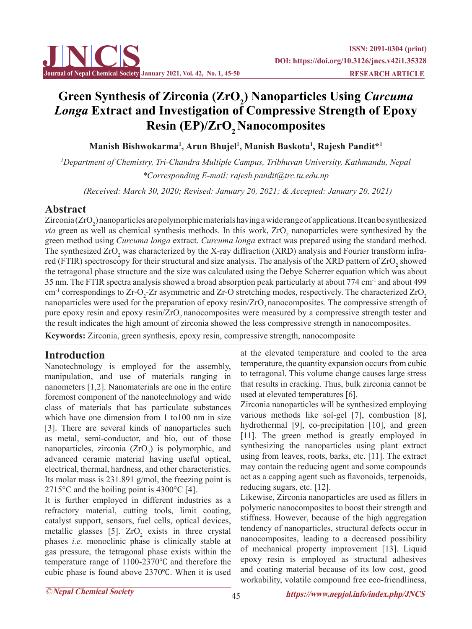

# Green Synthesis of Zirconia (ZrO<sub>2</sub>) Nanoparticles Using *Curcuma Longa* **Extract and Investigation of Compressive Strength of Epoxy Resin (EP)/ZrO<sub>2</sub> Nanocomposites**

**Manish Bishwokarma1 , Arun Bhujel1 , Manish Baskota1 , Rajesh Pandit\*1**

*1 Department of Chemistry, Tri-Chandra Multiple Campus, Tribhuvan University, Kathmandu, Nepal \*Corresponding E-mail: rajesh.pandit@trc.tu.edu.np*

 *(Received: March 30, 2020; Revised: January 20, 2021; & Accepted: January 20, 2021)*

# **Abstract**

Zirconia (ZrO<sub>2</sub>) nanoparticles are polymorphic materials having a wide range of applications. It can be synthesized *via* green as well as chemical synthesis methods. In this work,  $ZrO<sub>2</sub>$  nanoparticles were synthesized by the green method using *Curcuma longa* extract. *Curcuma longa* extract was prepared using the standard method. The synthesized  $ZrO<sub>2</sub>$  was characterized by the X-ray diffraction (XRD) analysis and Fourier transform infrared (FTIR) spectroscopy for their structural and size analysis. The analysis of the XRD pattern of  $ZrO<sub>2</sub>$  showed the tetragonal phase structure and the size was calculated using the Debye Scherrer equation which was about 35 nm. The FTIR spectra analysis showed a broad absorption peak particularly at about 774 cm-1 and about 499 cm<sup>-1</sup> correspondings to Zr-O<sub>2</sub>-Zr asymmetric and Zr-O stretching modes, respectively. The characterized ZrO<sub>2</sub> nanoparticles were used for the preparation of epoxy resin/ZrO<sub>2</sub> nanocomposites. The compressive strength of pure epoxy resin and epoxy resin/ZrO<sub>2</sub> nanocomposites were measured by a compressive strength tester and the result indicates the high amount of zirconia showed the less compressive strength in nanocomposites.

**Keywords:** Zirconia, green synthesis, epoxy resin, compressive strength, nanocomposite

# **Introduction**

Nanotechnology is employed for the assembly, manipulation, and use of materials ranging in nanometers [1,2]. Nanomaterials are one in the entire foremost component of the nanotechnology and wide class of materials that has particulate substances which have one dimension from 1 to 100 nm in size [3]. There are several kinds of nanoparticles such as metal, semi-conductor, and bio, out of those nanoparticles, zirconia  $(ZrO<sub>2</sub>)$  is polymorphic, and advanced ceramic material having useful optical, electrical, thermal, hardness, and other characteristics. Its molar mass is 231.891 g/mol, the freezing point is 2715 $\degree$ C and the boiling point is 4300 $\degree$ C [4].

It is further employed in different industries as a refractory material, cutting tools, limit coating, catalyst support, sensors, fuel cells, optical devices, metallic glasses [5].  $ZrO_2$  exists in three crystal phases *i.e.* monoclinic phase is clinically stable at gas pressure, the tetragonal phase exists within the temperature range of 1100-2370℃ and therefore the cubic phase is found above 2370℃. When it is used

at the elevated temperature and cooled to the area temperature, the quantity expansion occurs from cubic to tetragonal. This volume change causes large stress that results in cracking. Thus, bulk zirconia cannot be used at elevated temperatures [6].

Zirconia nanoparticles will be synthesized employing various methods like sol-gel [7], combustion [8], hydrothermal [9], co-precipitation [10], and green [11]. The green method is greatly employed in synthesizing the nanoparticles using plant extract using from leaves, roots, barks, etc. [11]. The extract may contain the reducing agent and some compounds act as a capping agent such as flavonoids, terpenoids, reducing sugars, etc. [12].

Likewise, Zirconia nanoparticles are used as fillers in polymeric nanocomposites to boost their strength and stiffness. However, because of the high aggregation tendency of nanoparticles, structural defects occur in nanocomposites, leading to a decreased possibility of mechanical property improvement [13]. Liquid epoxy resin is employed as structural adhesives and coating material because of its low cost, good workability, volatile compound free eco-friendliness,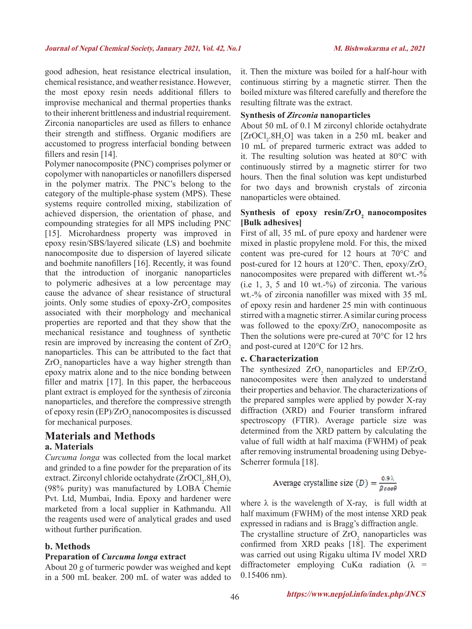good adhesion, heat resistance electrical insulation, chemical resistance, and weather resistance. However, the most epoxy resin needs additional fillers to improvise mechanical and thermal properties thanks to their inherent brittleness and industrial requirement. Zirconia nanoparticles are used as fillers to enhance their strength and stiffness. Organic modifiers are accustomed to progress interfacial bonding between fillers and resin [14].

Polymer nanocomposite (PNC) comprises polymer or copolymer with nanoparticles or nanofillers dispersed in the polymer matrix. The PNC's belong to the category of the multiple-phase system (MPS). These systems require controlled mixing, stabilization of achieved dispersion, the orientation of phase, and compounding strategies for all MPS including PNC [15]. Microhardness property was improved in epoxy resin/SBS/layered silicate (LS) and boehmite nanocomposite due to dispersion of layered silicate and boehmite nanofillers [16]. Recently, it was found that the introduction of inorganic nanoparticles to polymeric adhesives at a low percentage may cause the advance of shear resistance of structural joints. Only some studies of epoxy-ZrO<sub>2</sub> composites associated with their morphology and mechanical properties are reported and that they show that the mechanical resistance and toughness of synthetic resin are improved by increasing the content of  $ZrO<sub>2</sub>$ nanoparticles. This can be attributed to the fact that ZrO<sub>2</sub> nanoparticles have a way higher strength than epoxy matrix alone and to the nice bonding between filler and matrix [17]. In this paper, the herbaceous plant extract is employed for the synthesis of zirconia nanoparticles, and therefore the compressive strength of epoxy resin  $(EP)/ZrO$ , nanocomposites is discussed for mechanical purposes.

# **Materials and Methods a. Materials**

*Curcuma longa* was collected from the local market and grinded to a fine powder for the preparation of its extract. Zirconyl chloride octahydrate  $(ZrOCl<sub>2</sub>.8H<sub>2</sub>O)$ , (98% purity) was manufactured by LOBA Chemie Pvt. Ltd, Mumbai, India. Epoxy and hardener were marketed from a local supplier in Kathmandu. All the reagents used were of analytical grades and used without further purification.

#### **b. Methods**

#### **Preparation of** *Curcuma longa* **extract**

About 20 g of turmeric powder was weighed and kept in a 500 mL beaker. 200 mL of water was added to it. Then the mixture was boiled for a half-hour with continuous stirring by a magnetic stirrer. Then the boiled mixture was filtered carefully and therefore the resulting filtrate was the extract.

#### **Synthesis of** *Zirconia* **nanoparticles**

About 50 mL of 0.1 M zirconyl chloride octahydrate  $[ZroCl<sub>2</sub>.8H<sub>2</sub>O]$  was taken in a 250 mL beaker and 10 mL of prepared turmeric extract was added to it. The resulting solution was heated at 80°C with continuously stirred by a magnetic stirrer for two hours. Then the final solution was kept undisturbed for two days and brownish crystals of zirconia nanoparticles were obtained.

#### Synthesis of epoxy resin/ZrO<sub>2</sub> nanocomposites **[Bulk adhesives]**

First of all, 35 mL of pure epoxy and hardener were mixed in plastic propylene mold. For this, the mixed content was pre-cured for 12 hours at 70°C and post-cured for 12 hours at  $120^{\circ}$ C. Then, epoxy/ZrO<sub>2</sub> nanocomposites were prepared with different wt. $-$ %  $(i.e 1, 3, 5 and 10 wt. -%)$  of zirconia. The various wt.-% of zirconia nanofiller was mixed with 35 mL of epoxy resin and hardener 25 min with continuous stirred with a magnetic stirrer. A similar curing process was followed to the epoxy/ $ZrO_2$  nanocomposite as Then the solutions were pre-cured at 70°C for 12 hrs and post-cured at 120°C for 12 hrs.

#### **c. Characterization**

The synthesized ZrO<sub>2</sub> nanoparticles and EP/ZrO<sub>2</sub> nanocomposites were then analyzed to understand their properties and behavior. The characterizations of the prepared samples were applied by powder X-ray diffraction (XRD) and Fourier transform infrared spectroscopy (FTIR). Average particle size was determined from the XRD pattern by calculating the value of full width at half maxima (FWHM) of peak after removing instrumental broadening using Debye-Scherrer formula [18].

Average crystalline size 
$$
(D) = \frac{0.9 \lambda}{\beta \cos \theta}
$$

where  $\lambda$  is the wavelength of X-ray, is full width at half maximum (FWHM) of the most intense XRD peak expressed in radians and is Bragg's diffraction angle.

The crystalline structure of  $ZrO_2$  nanoparticles was confirmed from XRD peaks [18]. The experiment was carried out using Rigaku ultima IV model XRD diffractometer employing  $CuKa$  radiation ( $\lambda$  = 0.15406 nm).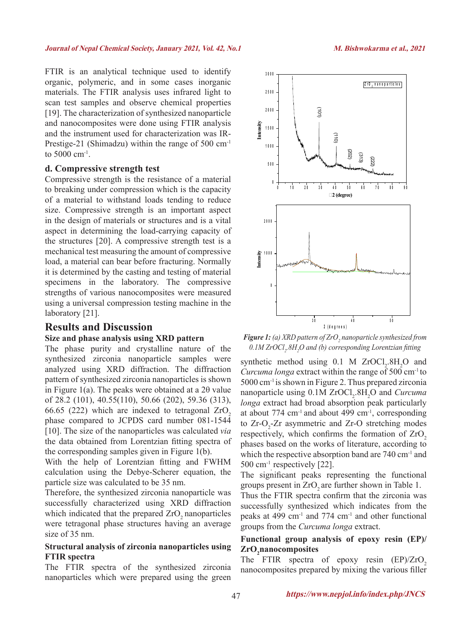FTIR is an analytical technique used to identify organic, polymeric, and in some cases inorganic materials. The FTIR analysis uses infrared light to scan test samples and observe chemical properties [19]. The characterization of synthesized nanoparticle and nanocomposites were done using FTIR analysis and the instrument used for characterization was IR-Prestige-21 (Shimadzu) within the range of 500 cm<sup>-1</sup> to 5000 cm-1.

## **d. Compressive strength test**

Compressive strength is the resistance of a material to breaking under compression which is the capacity of a material to withstand loads tending to reduce size. Compressive strength is an important aspect in the design of materials or structures and is a vital aspect in determining the load-carrying capacity of the structures [20]. A compressive strength test is a mechanical test measuring the amount of compressive load, a material can bear before fracturing. Normally it is determined by the casting and testing of material specimens in the laboratory. The compressive strengths of various nanocomposites were measured using a universal compression testing machine in the laboratory [21].

# **Results and Discussion Size and phase analysis using XRD pattern**

The phase purity and crystalline nature of the synthesized zirconia nanoparticle samples were analyzed using XRD diffraction. The diffraction pattern of synthesized zirconia nanoparticles is shown in Figure 1(a). The peaks were obtained at a 2θ value of 28.2 (101), 40.55(110), 50.66 (202), 59.36 (313), 66.65 (222) which are indexed to tetragonal  $ZrO<sub>2</sub>$ phase compared to JCPDS card number 081-1544 [10]. The size of the nanoparticles was calculated *via* the data obtained from Lorentzian fitting spectra of the corresponding samples given in Figure 1(b).

With the help of Lorentzian fitting and FWHM calculation using the Debye-Scherer equation, the particle size was calculated to be 35 nm.

Therefore, the synthesized zirconia nanoparticle was successfully characterized using XRD diffraction which indicated that the prepared  $ZrO<sub>2</sub>$  nanoparticles were tetragonal phase structures having an average size of 35 nm.

## **Structural analysis of zirconia nanoparticles using FTIR spectra**

The FTIR spectra of the synthesized zirconia nanoparticles which were prepared using the green



*Figure 1: (a) XRD pattern of ZrO<sub>2</sub> nanoparticle synthesized from* 0.1M ZrOCl<sub>2</sub>.8H<sub>2</sub>O and (b) corresponding Lorentzian fitting

synthetic method using  $0.1$  M ZrOCl<sub>2</sub>.8H<sub>2</sub>O and *Curcuma longa* extract within the range of 500 cm-1 to 5000 cm-1 is shown in Figure 2. Thus prepared zirconia nanoparticle using  $0.1M$  ZrOCl<sub>2</sub>.8H<sub>2</sub>O and *Curcuma longa* extract had broad absorption peak particularly at about 774  $\text{cm}^{-1}$  and about 499  $\text{cm}^{-1}$ , corresponding to  $Zr-O_2-Zr$  asymmetric and  $Zr-O$  stretching modes respectively, which confirms the formation of  $ZrO<sub>2</sub>$ phases based on the works of literature, according to which the respective absorption band are 740 cm<sup>-1</sup> and  $500 \text{ cm}^3$ , respectively [22].

The significant peaks representing the functional groups present in ZrO<sub>2</sub> are further shown in Table 1.

Thus the FTIR spectra confirm that the zirconia was successfully synthesized which indicates from the peaks at 499 cm-1 and 774 cm-1 and other functional groups from the *Curcuma longa* extract.

# **Functional group analysis of epoxy resin (EP)/**  $\operatorname{ZrO}_2$ nanocomposites

The FTIR spectra of epoxy resin  $(EP)/ZrO<sub>2</sub>$ nanocomposites prepared by mixing the various filler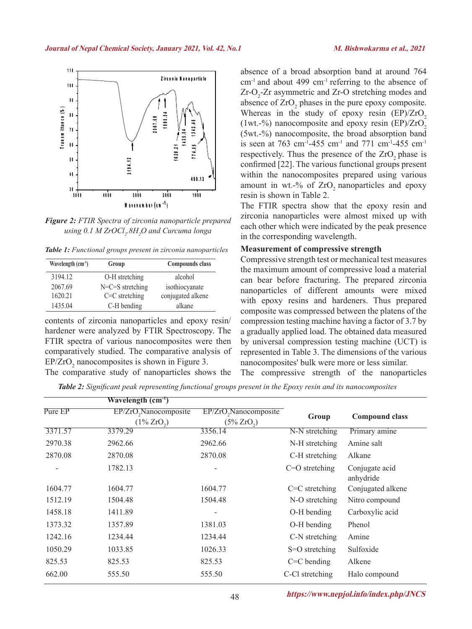

*Figure 2: FTIR Spectra of zirconia nanoparticle prepared using 0.1 M ZrOCl2 .8H2 O and Curcuma longa*

*Table 1: Functional groups present in zirconia nanoparticles*

| Wavelength $(cm-1)$ | Group              | Compounds class   |
|---------------------|--------------------|-------------------|
| 3194.12             | O-H stretching     | alcohol           |
| 2067.69             | $N=C=S$ stretching | isothiocyanate    |
| 1620.21             | $C=C$ stretching   | conjugated alkene |
| 1435.04             | C-H bending        | alkane            |

contents of zirconia nanoparticles and epoxy resin/ hardener were analyzed by FTIR Spectroscopy. The FTIR spectra of various nanocomposites were then comparatively studied. The comparative analysis of  $EP/ZrO<sub>2</sub>$  nanocomposites is shown in Figure 3. The comparative study of nanoparticles shows the

absence of a broad absorption band at around 764  $cm<sup>-1</sup>$  and about 499  $cm<sup>-1</sup>$  referring to the absence of  $Zr-O<sub>2</sub>$ - $Zr$  asymmetric and  $Zr-O$  stretching modes and absence of  $ZrO<sub>2</sub>$  phases in the pure epoxy composite. Whereas in the study of epoxy resin  $(EP)/ZrO<sub>2</sub>$ (1wt.-%) nanocomposite and epoxy resin  $(EP)/ZrO<sub>2</sub>$ (5wt.-%) nanocomposite, the broad absorption band is seen at 763 cm<sup>-1</sup>-455 cm<sup>-1</sup> and 771 cm<sup>-1</sup>-455 cm<sup>-1</sup> respectively. Thus the presence of the ZrO<sub>2</sub> phase is confirmed [22]. The various functional groups present within the nanocomposites prepared using various amount in wt.-% of  $ZrO$ , nanoparticles and epoxy resin is shown in Table 2.

The FTIR spectra show that the epoxy resin and zirconia nanoparticles were almost mixed up with each other which were indicated by the peak presence in the corresponding wavelength.

#### **Measurement of compressive strength**

Compressive strength test or mechanical test measures the maximum amount of compressive load a material can bear before fracturing. The prepared zirconia nanoparticles of different amounts were mixed with epoxy resins and hardeners. Thus prepared composite was compressed between the platens of the compression testing machine having a factor of 3.7 by a gradually applied load. The obtained data measured by universal compression testing machine (UCT) is represented in Table 3. The dimensions of the various nanocomposites' bulk were more or less similar. The compressive strength of the nanoparticles

*Table 2: Significant peak representing functional groups present in the Epoxy resin and its nanocomposites*

|         | Wavelength $(cm-1)$                                            |                                                                |                  |                             |
|---------|----------------------------------------------------------------|----------------------------------------------------------------|------------------|-----------------------------|
| Pure EP | EP/ZrO <sub>2</sub> Nanocomposite<br>$(1\%$ ZrO <sub>2</sub> ) | EP/ZrO <sub>2</sub> Nanocomposite<br>$(5\%$ ZrO <sub>2</sub> ) | Group            | <b>Compound class</b>       |
| 3371.57 | 3379.29                                                        | 3356.14                                                        | N-N stretching   | Primary amine               |
| 2970.38 | 2962.66                                                        | 2962.66                                                        | N-H stretching   | Amine salt                  |
| 2870.08 | 2870.08                                                        | 2870.08                                                        | C-H stretching   | Alkane                      |
|         | 1782.13                                                        |                                                                | $C=O$ stretching | Conjugate acid<br>anhydride |
| 1604.77 | 1604.77                                                        | 1604.77                                                        | $C=C$ stretching | Conjugated alkene           |
| 1512.19 | 1504.48                                                        | 1504.48                                                        | N-O stretching   | Nitro compound              |
| 1458.18 | 1411.89                                                        |                                                                | O-H bending      | Carboxylic acid             |
| 1373.32 | 1357.89                                                        | 1381.03                                                        | O-H bending      | Phenol                      |
| 1242.16 | 1234.44                                                        | 1234.44                                                        | C-N stretching   | Amine                       |
| 1050.29 | 1033.85                                                        | 1026.33                                                        | S=O stretching   | Sulfoxide                   |
| 825.53  | 825.53                                                         | 825.53                                                         | $C=C$ bending    | Alkene                      |
| 662.00  | 555.50                                                         | 555.50                                                         | C-Cl stretching  | Halo compound               |

48 **https://www.nepjol.info/index.php/JNCS**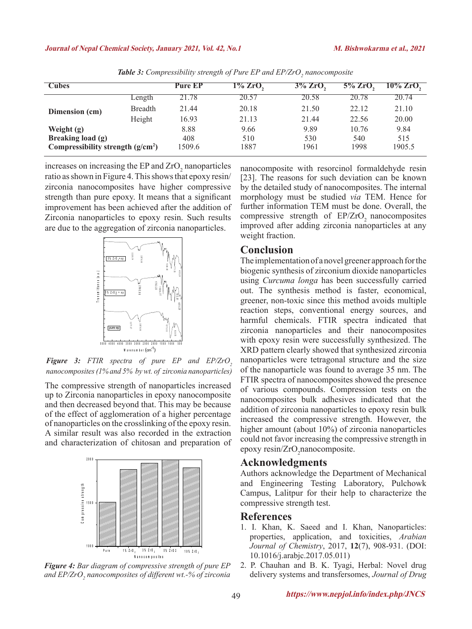| Cubes                              |                | <b>Pure EP</b> | 1% ZrO, | $3\%$ ZrO, | $5\%$ ZrO | $10\%$ ZrO. |
|------------------------------------|----------------|----------------|---------|------------|-----------|-------------|
| Dimension (cm)                     | Length         | 21.78          | 20.57   | 20.58      | 20.78     | 20.74       |
|                                    | <b>Breadth</b> | 21.44          | 20.18   | 21.50      | 22.12     | 21.10       |
|                                    | Height         | 16.93          | 21.13   | 21.44      | 22.56     | 20.00       |
| Weight (g)                         |                | 8.88           | 9.66    | 9.89       | 10.76     | 9.84        |
| Breaking load (g)                  |                | 408            | 510     | 530        | 540       | 515         |
| Compressibility strength $(g/cm2)$ |                | 1509.6         | 1887    | 1961       | 1998      | 1905.5      |

**Table 3:** Compressibility strength of Pure EP and EP/ZrO<sub>2</sub> nanocomposite

increases on increasing the EP and  $ZrO<sub>2</sub>$  nanoparticles ratio as shown in Figure 4. This shows that epoxy resin/ zirconia nanocomposites have higher compressive strength than pure epoxy. It means that a significant improvement has been achieved after the addition of Zirconia nanoparticles to epoxy resin. Such results are due to the aggregation of zirconia nanoparticles.



**Figure 3:** FTIR spectra of pure EP and EP/ZrO<sub>2</sub> *nanocomposites (1% and 5% by wt. of zirconia nanoparticles)*

The compressive strength of nanoparticles increased up to Zirconia nanoparticles in epoxy nanocomposite and then decreased beyond that. This may be because of the effect of agglomeration of a higher percentage of nanoparticles on the crosslinking of the epoxy resin. A similar result was also recorded in the extraction and characterization of chitosan and preparation of



*Figure 4: Bar diagram of compressive strength of pure EP and EP/ZrO2 nanocomposites of different wt.-% of zirconia*

nanocomposite with resorcinol formaldehyde resin [23]. The reasons for such deviation can be known by the detailed study of nanocomposites. The internal morphology must be studied *via* TEM. Hence for further information TEM must be done. Overall, the compressive strength of  $EP/ZrO<sub>2</sub>$  nanocomposites improved after adding zirconia nanoparticles at any weight fraction.

## **Conclusion**

The implementation of a novel greener approach for the biogenic synthesis of zirconium dioxide nanoparticles using *Curcuma longa* has been successfully carried out. The synthesis method is faster, economical, greener, non-toxic since this method avoids multiple reaction steps, conventional energy sources, and harmful chemicals. FTIR spectra indicated that zirconia nanoparticles and their nanocomposites with epoxy resin were successfully synthesized. The XRD pattern clearly showed that synthesized zirconia nanoparticles were tetragonal structure and the size of the nanoparticle was found to average 35 nm. The FTIR spectra of nanocomposites showed the presence of various compounds. Compression tests on the nanocomposites bulk adhesives indicated that the addition of zirconia nanoparticles to epoxy resin bulk increased the compressive strength. However, the higher amount (about 10%) of zirconia nanoparticles could not favor increasing the compressive strength in epoxy resin/ZrO<sub>2</sub>nanocomposite.

## **Acknowledgments**

Authors acknowledge the Department of Mechanical and Engineering Testing Laboratory, Pulchowk Campus, Lalitpur for their help to characterize the compressive strength test.

## **References**

- 1. I. Khan, K. Saeed and I. Khan, Nanoparticles: properties, application, and toxicities, *Arabian Journal of Chemistry*, 2017, **12**(7), 908-931. (DOI: 10.1016/j.arabjc.2017.05.011)
- 2. P. Chauhan and B. K. Tyagi, Herbal: Novel drug delivery systems and transfersomes, *Journal of Drug*